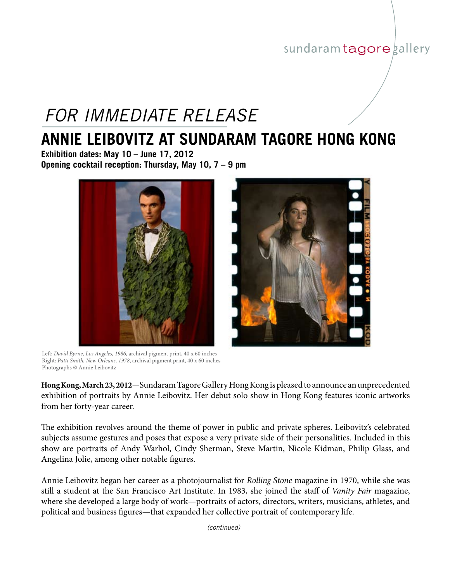### sundaram tagore gallery

# *FOR IMMEDIATE RELEASE*

## **ANNIE LEIBOVITZ AT SUNDARAM TAGORE HONG KONG**

**Exhibition dates: May 10 – June 17, 2012 Opening cocktail reception: Thursday, May 10, 7 – 9 pm**



Left: *David Byrne, Los Angeles, 1986*, archival pigment print, 40 x 60 inches Right: *Patti Smith, New Orleans, 1978*, archival pigment print, 40 x 60 inches Photographs © Annie Leibovitz

**Hong Kong, March 23, 2012**—Sundaram Tagore Gallery Hong Kong is pleased to announce an unprecedented exhibition of portraits by Annie Leibovitz. Her debut solo show in Hong Kong features iconic artworks from her forty-year career.

The exhibition revolves around the theme of power in public and private spheres. Leibovitz's celebrated subjects assume gestures and poses that expose a very private side of their personalities. Included in this show are portraits of Andy Warhol, Cindy Sherman, Steve Martin, Nicole Kidman, Philip Glass, and Angelina Jolie, among other notable figures.

Annie Leibovitz began her career as a photojournalist for *Rolling Stone* magazine in 1970, while she was still a student at the San Francisco Art Institute. In 1983, she joined the staff of *Vanity Fair* magazine, where she developed a large body of work—portraits of actors, directors, writers, musicians, athletes, and political and business figures—that expanded her collective portrait of contemporary life.

*(continued)*